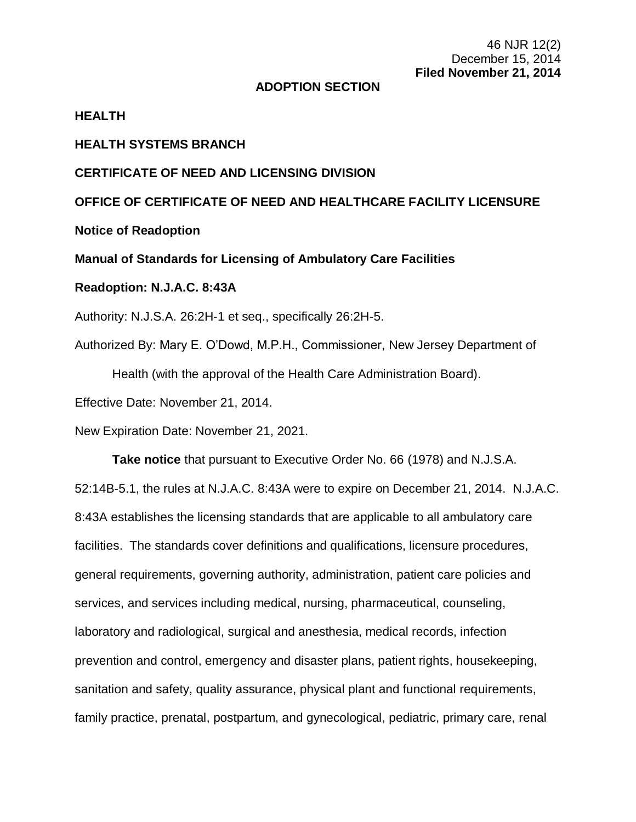### **ADOPTION SECTION**

## **HEALTH**

# **HEALTH SYSTEMS BRANCH**

## **CERTIFICATE OF NEED AND LICENSING DIVISION**

**OFFICE OF CERTIFICATE OF NEED AND HEALTHCARE FACILITY LICENSURE**

**Notice of Readoption**

**Manual of Standards for Licensing of Ambulatory Care Facilities**

#### **Readoption: N.J.A.C. 8:43A**

Authority: N.J.S.A. 26:2H-1 et seq., specifically 26:2H-5.

Authorized By: Mary E. O'Dowd, M.P.H., Commissioner, New Jersey Department of Health (with the approval of the Health Care Administration Board).

Effective Date: November 21, 2014.

New Expiration Date: November 21, 2021.

**Take notice** that pursuant to Executive Order No. 66 (1978) and N.J.S.A. 52:14B-5.1, the rules at N.J.A.C. 8:43A were to expire on December 21, 2014. N.J.A.C. 8:43A establishes the licensing standards that are applicable to all ambulatory care facilities. The standards cover definitions and qualifications, licensure procedures, general requirements, governing authority, administration, patient care policies and services, and services including medical, nursing, pharmaceutical, counseling, laboratory and radiological, surgical and anesthesia, medical records, infection prevention and control, emergency and disaster plans, patient rights, housekeeping, sanitation and safety, quality assurance, physical plant and functional requirements, family practice, prenatal, postpartum, and gynecological, pediatric, primary care, renal